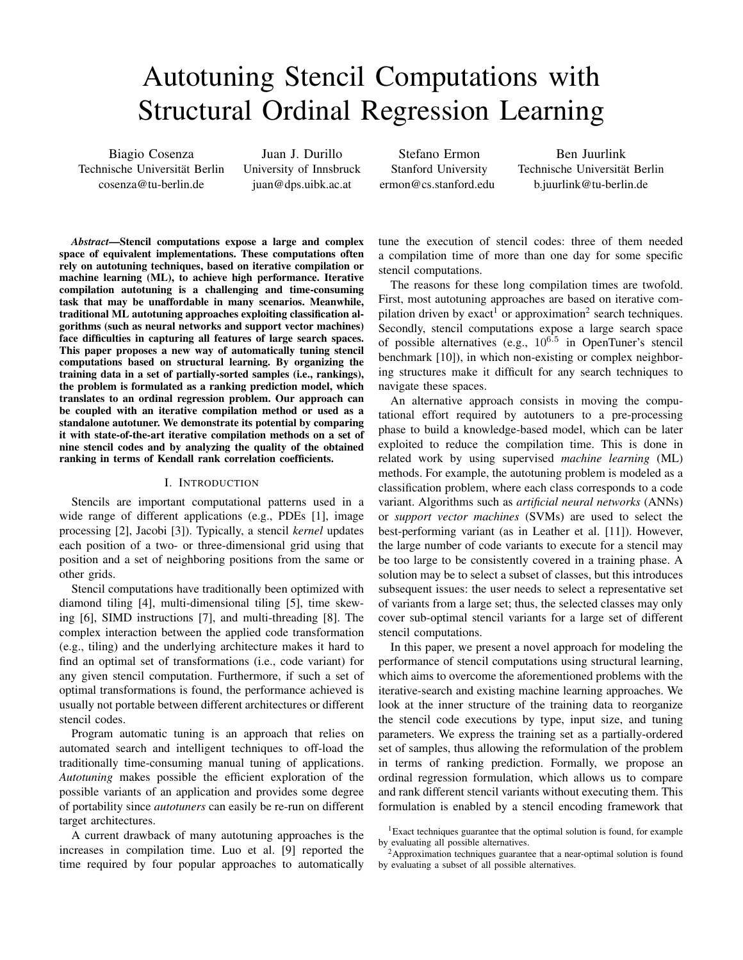# Autotuning Stencil Computations with Structural Ordinal Regression Learning

Biagio Cosenza Technische Universität Berlin cosenza@tu-berlin.de

Juan J. Durillo University of Innsbruck juan@dps.uibk.ac.at

Stefano Ermon Stanford University ermon@cs.stanford.edu

Ben Juurlink Technische Universität Berlin b.juurlink@tu-berlin.de

*Abstract*—Stencil computations expose a large and complex space of equivalent implementations. These computations often rely on autotuning techniques, based on iterative compilation or machine learning (ML), to achieve high performance. Iterative compilation autotuning is a challenging and time-consuming task that may be unaffordable in many scenarios. Meanwhile, traditional ML autotuning approaches exploiting classification algorithms (such as neural networks and support vector machines) face difficulties in capturing all features of large search spaces. This paper proposes a new way of automatically tuning stencil computations based on structural learning. By organizing the training data in a set of partially-sorted samples (i.e., rankings), the problem is formulated as a ranking prediction model, which translates to an ordinal regression problem. Our approach can be coupled with an iterative compilation method or used as a standalone autotuner. We demonstrate its potential by comparing it with state-of-the-art iterative compilation methods on a set of nine stencil codes and by analyzing the quality of the obtained ranking in terms of Kendall rank correlation coefficients.

## I. INTRODUCTION

Stencils are important computational patterns used in a wide range of different applications (e.g., PDEs [1], image processing [2], Jacobi [3]). Typically, a stencil *kernel* updates each position of a two- or three-dimensional grid using that position and a set of neighboring positions from the same or other grids.

Stencil computations have traditionally been optimized with diamond tiling [4], multi-dimensional tiling [5], time skewing [6], SIMD instructions [7], and multi-threading [8]. The complex interaction between the applied code transformation (e.g., tiling) and the underlying architecture makes it hard to find an optimal set of transformations (i.e., code variant) for any given stencil computation. Furthermore, if such a set of optimal transformations is found, the performance achieved is usually not portable between different architectures or different stencil codes.

Program automatic tuning is an approach that relies on automated search and intelligent techniques to off-load the traditionally time-consuming manual tuning of applications. *Autotuning* makes possible the efficient exploration of the possible variants of an application and provides some degree of portability since *autotuners* can easily be re-run on different target architectures.

A current drawback of many autotuning approaches is the increases in compilation time. Luo et al. [9] reported the time required by four popular approaches to automatically tune the execution of stencil codes: three of them needed a compilation time of more than one day for some specific stencil computations.

The reasons for these long compilation times are twofold. First, most autotuning approaches are based on iterative compilation driven by exact<sup>1</sup> or approximation<sup>2</sup> search techniques. Secondly, stencil computations expose a large search space of possible alternatives (e.g.,  $10^{6.5}$  in OpenTuner's stencil benchmark [10]), in which non-existing or complex neighboring structures make it difficult for any search techniques to navigate these spaces.

An alternative approach consists in moving the computational effort required by autotuners to a pre-processing phase to build a knowledge-based model, which can be later exploited to reduce the compilation time. This is done in related work by using supervised *machine learning* (ML) methods. For example, the autotuning problem is modeled as a classification problem, where each class corresponds to a code variant. Algorithms such as *artificial neural networks* (ANNs) or *support vector machines* (SVMs) are used to select the best-performing variant (as in Leather et al. [11]). However, the large number of code variants to execute for a stencil may be too large to be consistently covered in a training phase. A solution may be to select a subset of classes, but this introduces subsequent issues: the user needs to select a representative set of variants from a large set; thus, the selected classes may only cover sub-optimal stencil variants for a large set of different stencil computations.

In this paper, we present a novel approach for modeling the performance of stencil computations using structural learning, which aims to overcome the aforementioned problems with the iterative-search and existing machine learning approaches. We look at the inner structure of the training data to reorganize the stencil code executions by type, input size, and tuning parameters. We express the training set as a partially-ordered set of samples, thus allowing the reformulation of the problem in terms of ranking prediction. Formally, we propose an ordinal regression formulation, which allows us to compare and rank different stencil variants without executing them. This formulation is enabled by a stencil encoding framework that

<sup>1</sup>Exact techniques guarantee that the optimal solution is found, for example by evaluating all possible alternatives.

 $2$ Approximation techniques guarantee that a near-optimal solution is found by evaluating a subset of all possible alternatives.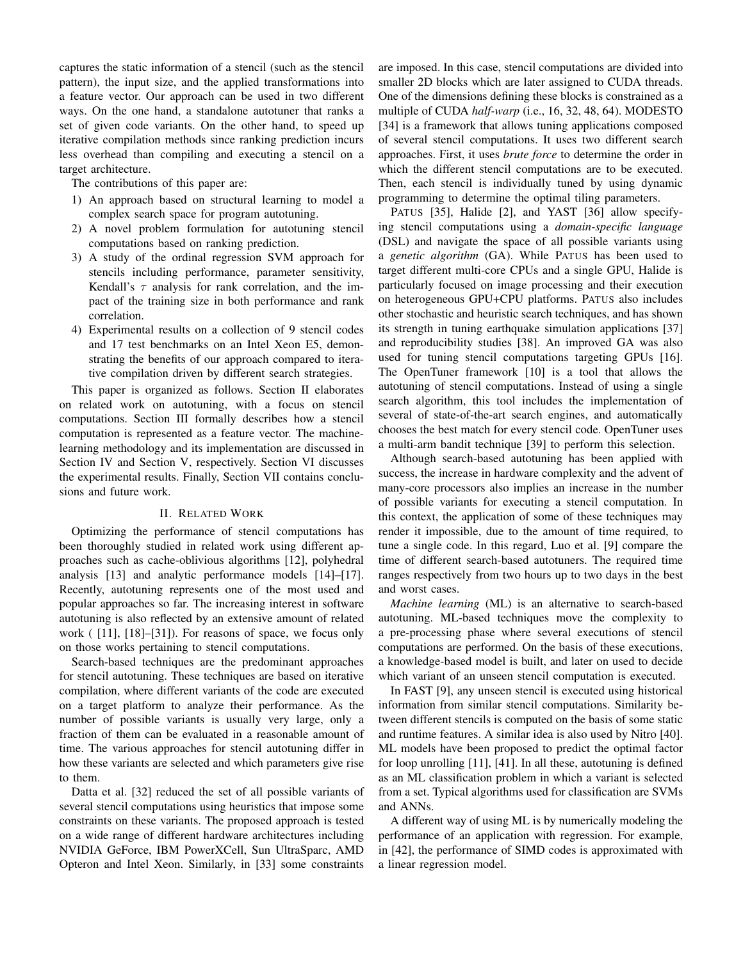captures the static information of a stencil (such as the stencil pattern), the input size, and the applied transformations into a feature vector. Our approach can be used in two different ways. On the one hand, a standalone autotuner that ranks a set of given code variants. On the other hand, to speed up iterative compilation methods since ranking prediction incurs less overhead than compiling and executing a stencil on a target architecture.

The contributions of this paper are:

- 1) An approach based on structural learning to model a complex search space for program autotuning.
- 2) A novel problem formulation for autotuning stencil computations based on ranking prediction.
- 3) A study of the ordinal regression SVM approach for stencils including performance, parameter sensitivity, Kendall's  $\tau$  analysis for rank correlation, and the impact of the training size in both performance and rank correlation.
- 4) Experimental results on a collection of 9 stencil codes and 17 test benchmarks on an Intel Xeon E5, demonstrating the benefits of our approach compared to iterative compilation driven by different search strategies.

This paper is organized as follows. Section II elaborates on related work on autotuning, with a focus on stencil computations. Section III formally describes how a stencil computation is represented as a feature vector. The machinelearning methodology and its implementation are discussed in Section IV and Section V, respectively. Section VI discusses the experimental results. Finally, Section VII contains conclusions and future work.

## II. RELATED WORK

Optimizing the performance of stencil computations has been thoroughly studied in related work using different approaches such as cache-oblivious algorithms [12], polyhedral analysis [13] and analytic performance models [14]–[17]. Recently, autotuning represents one of the most used and popular approaches so far. The increasing interest in software autotuning is also reflected by an extensive amount of related work ( [11], [18]–[31]). For reasons of space, we focus only on those works pertaining to stencil computations.

Search-based techniques are the predominant approaches for stencil autotuning. These techniques are based on iterative compilation, where different variants of the code are executed on a target platform to analyze their performance. As the number of possible variants is usually very large, only a fraction of them can be evaluated in a reasonable amount of time. The various approaches for stencil autotuning differ in how these variants are selected and which parameters give rise to them.

Datta et al. [32] reduced the set of all possible variants of several stencil computations using heuristics that impose some constraints on these variants. The proposed approach is tested on a wide range of different hardware architectures including NVIDIA GeForce, IBM PowerXCell, Sun UltraSparc, AMD Opteron and Intel Xeon. Similarly, in [33] some constraints

are imposed. In this case, stencil computations are divided into smaller 2D blocks which are later assigned to CUDA threads. One of the dimensions defining these blocks is constrained as a multiple of CUDA *half-warp* (i.e., 16, 32, 48, 64). MODESTO [34] is a framework that allows tuning applications composed of several stencil computations. It uses two different search approaches. First, it uses *brute force* to determine the order in which the different stencil computations are to be executed. Then, each stencil is individually tuned by using dynamic programming to determine the optimal tiling parameters.

PATUS [35], Halide [2], and YAST [36] allow specifying stencil computations using a *domain-specific language* (DSL) and navigate the space of all possible variants using a *genetic algorithm* (GA). While PATUS has been used to target different multi-core CPUs and a single GPU, Halide is particularly focused on image processing and their execution on heterogeneous GPU+CPU platforms. PATUS also includes other stochastic and heuristic search techniques, and has shown its strength in tuning earthquake simulation applications [37] and reproducibility studies [38]. An improved GA was also used for tuning stencil computations targeting GPUs [16]. The OpenTuner framework [10] is a tool that allows the autotuning of stencil computations. Instead of using a single search algorithm, this tool includes the implementation of several of state-of-the-art search engines, and automatically chooses the best match for every stencil code. OpenTuner uses a multi-arm bandit technique [39] to perform this selection.

Although search-based autotuning has been applied with success, the increase in hardware complexity and the advent of many-core processors also implies an increase in the number of possible variants for executing a stencil computation. In this context, the application of some of these techniques may render it impossible, due to the amount of time required, to tune a single code. In this regard, Luo et al. [9] compare the time of different search-based autotuners. The required time ranges respectively from two hours up to two days in the best and worst cases.

*Machine learning* (ML) is an alternative to search-based autotuning. ML-based techniques move the complexity to a pre-processing phase where several executions of stencil computations are performed. On the basis of these executions, a knowledge-based model is built, and later on used to decide which variant of an unseen stencil computation is executed.

In FAST [9], any unseen stencil is executed using historical information from similar stencil computations. Similarity between different stencils is computed on the basis of some static and runtime features. A similar idea is also used by Nitro [40]. ML models have been proposed to predict the optimal factor for loop unrolling [11], [41]. In all these, autotuning is defined as an ML classification problem in which a variant is selected from a set. Typical algorithms used for classification are SVMs and ANNs.

A different way of using ML is by numerically modeling the performance of an application with regression. For example, in [42], the performance of SIMD codes is approximated with a linear regression model.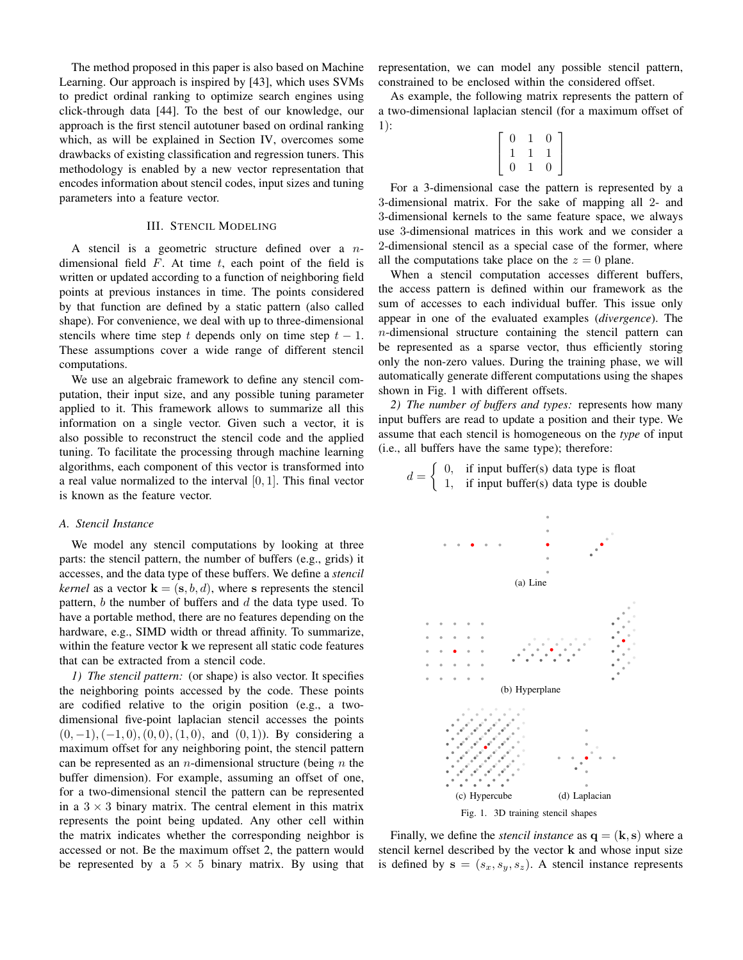The method proposed in this paper is also based on Machine Learning. Our approach is inspired by [43], which uses SVMs to predict ordinal ranking to optimize search engines using click-through data [44]. To the best of our knowledge, our approach is the first stencil autotuner based on ordinal ranking which, as will be explained in Section IV, overcomes some drawbacks of existing classification and regression tuners. This methodology is enabled by a new vector representation that encodes information about stencil codes, input sizes and tuning parameters into a feature vector.

# III. STENCIL MODELING

A stencil is a geometric structure defined over a  $n$ dimensional field  $F$ . At time  $t$ , each point of the field is written or updated according to a function of neighboring field points at previous instances in time. The points considered by that function are defined by a static pattern (also called shape). For convenience, we deal with up to three-dimensional stencils where time step t depends only on time step  $t - 1$ . These assumptions cover a wide range of different stencil computations.

We use an algebraic framework to define any stencil computation, their input size, and any possible tuning parameter applied to it. This framework allows to summarize all this information on a single vector. Given such a vector, it is also possible to reconstruct the stencil code and the applied tuning. To facilitate the processing through machine learning algorithms, each component of this vector is transformed into a real value normalized to the interval  $[0, 1]$ . This final vector is known as the feature vector.

## *A. Stencil Instance*

We model any stencil computations by looking at three parts: the stencil pattern, the number of buffers (e.g., grids) it accesses, and the data type of these buffers. We define a *stencil kernel* as a vector  $\mathbf{k} = (\mathbf{s}, b, d)$ , where s represents the stencil pattern,  $b$  the number of buffers and  $d$  the data type used. To have a portable method, there are no features depending on the hardware, e.g., SIMD width or thread affinity. To summarize, within the feature vector k we represent all static code features that can be extracted from a stencil code.

*1) The stencil pattern:* (or shape) is also vector. It specifies the neighboring points accessed by the code. These points are codified relative to the origin position (e.g., a twodimensional five-point laplacian stencil accesses the points  $(0, -1), (-1, 0), (0, 0), (1, 0),$  and  $(0, 1)$ ). By considering a maximum offset for any neighboring point, the stencil pattern can be represented as an *n*-dimensional structure (being *n* the buffer dimension). For example, assuming an offset of one, for a two-dimensional stencil the pattern can be represented in a  $3 \times 3$  binary matrix. The central element in this matrix represents the point being updated. Any other cell within the matrix indicates whether the corresponding neighbor is accessed or not. Be the maximum offset 2, the pattern would be represented by a  $5 \times 5$  binary matrix. By using that

representation, we can model any possible stencil pattern, constrained to be enclosed within the considered offset.

As example, the following matrix represents the pattern of a two-dimensional laplacian stencil (for a maximum offset of 1):

$$
\left[\begin{array}{rrr} 0 & 1 & 0 \\ 1 & 1 & 1 \\ 0 & 1 & 0 \end{array}\right]
$$

For a 3-dimensional case the pattern is represented by a 3-dimensional matrix. For the sake of mapping all 2- and 3-dimensional kernels to the same feature space, we always use 3-dimensional matrices in this work and we consider a 2-dimensional stencil as a special case of the former, where all the computations take place on the  $z = 0$  plane.

When a stencil computation accesses different buffers, the access pattern is defined within our framework as the sum of accesses to each individual buffer. This issue only appear in one of the evaluated examples (*divergence*). The  $n$ -dimensional structure containing the stencil pattern can be represented as a sparse vector, thus efficiently storing only the non-zero values. During the training phase, we will automatically generate different computations using the shapes shown in Fig. 1 with different offsets.

*2) The number of buffers and types:* represents how many input buffers are read to update a position and their type. We assume that each stencil is homogeneous on the *type* of input (i.e., all buffers have the same type); therefore:





Finally, we define the *stencil instance* as  $q = (k, s)$  where a stencil kernel described by the vector k and whose input size is defined by  $s = (s_x, s_y, s_z)$ . A stencil instance represents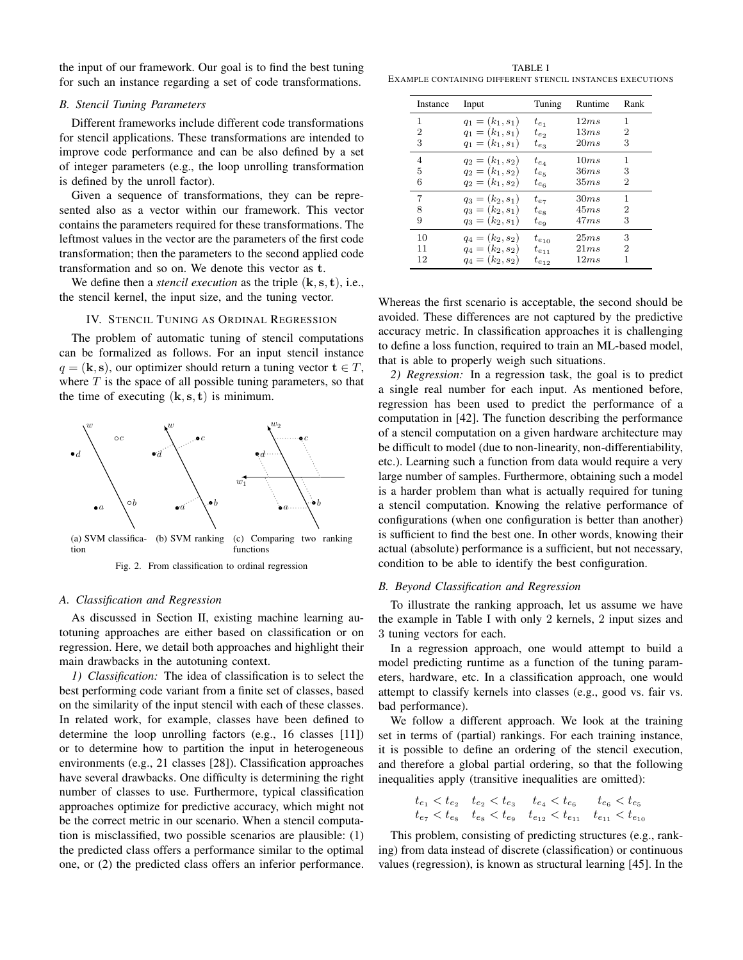the input of our framework. Our goal is to find the best tuning for such an instance regarding a set of code transformations.

## *B. Stencil Tuning Parameters*

Different frameworks include different code transformations for stencil applications. These transformations are intended to improve code performance and can be also defined by a set of integer parameters (e.g., the loop unrolling transformation is defined by the unroll factor).

Given a sequence of transformations, they can be represented also as a vector within our framework. This vector contains the parameters required for these transformations. The leftmost values in the vector are the parameters of the first code transformation; then the parameters to the second applied code transformation and so on. We denote this vector as t.

We define then a *stencil execution* as the triple  $(k, s, t)$ , i.e., the stencil kernel, the input size, and the tuning vector.

## IV. STENCIL TUNING AS ORDINAL REGRESSION

The problem of automatic tuning of stencil computations can be formalized as follows. For an input stencil instance  $q = (\mathbf{k}, \mathbf{s})$ , our optimizer should return a tuning vector  $\mathbf{t} \in T$ , where  $T$  is the space of all possible tuning parameters, so that the time of executing  $(k, s, t)$  is minimum.



Fig. 2. From classification to ordinal regression

## *A. Classification and Regression*

As discussed in Section II, existing machine learning autotuning approaches are either based on classification or on regression. Here, we detail both approaches and highlight their main drawbacks in the autotuning context.

*1) Classification:* The idea of classification is to select the best performing code variant from a finite set of classes, based on the similarity of the input stencil with each of these classes. In related work, for example, classes have been defined to determine the loop unrolling factors (e.g., 16 classes [11]) or to determine how to partition the input in heterogeneous environments (e.g., 21 classes [28]). Classification approaches have several drawbacks. One difficulty is determining the right number of classes to use. Furthermore, typical classification approaches optimize for predictive accuracy, which might not be the correct metric in our scenario. When a stencil computation is misclassified, two possible scenarios are plausible: (1) the predicted class offers a performance similar to the optimal one, or (2) the predicted class offers an inferior performance.

TABLE I EXAMPLE CONTAINING DIFFERENT STENCIL INSTANCES EXECUTIONS

| Instance       | Input              | Tuning       | Runtime | Rank |
|----------------|--------------------|--------------|---------|------|
| 1              | $q_1 = (k_1, s_1)$ | $t_{e_1}$    | 12ms    | 1    |
| $\overline{2}$ | $q_1 = (k_1, s_1)$ | $t_{e_2}$    | 13ms    | 2    |
| 3              | $q_1 = (k_1, s_1)$ | $t_{e_3}$    | 20ms    | 3    |
| 4              | $q_2=(k_1,s_2)$    | $t_{e_4}$    | 10ms    | 1    |
| 5              | $q_2=(k_1,s_2)$    | $t_{e}$      | 36ms    | 3    |
| 6              | $q_2=(k_1,s_2)$    | $t_{e_6}$    | 35ms    | 2    |
| 7              | $q_3 = (k_2, s_1)$ | $t_{e_7}$    | 30ms    | 1    |
| 8              | $q_3 = (k_2, s_1)$ | $t_{e_8}$    | 45ms    | 2    |
| 9              | $q_3 = (k_2, s_1)$ | $t_{e_9}$    | 47ms    | 3    |
| 10             | $q_4 = (k_2, s_2)$ | $t_{e_{10}}$ | 25ms    | 3    |
| 11             | $q_4 = (k_2, s_2)$ | $t_{e_{11}}$ | 21ms    | 2    |
| 12             | $q_4 = (k_2, s_2)$ | $t_{e_1}$    | 12ms    | 1    |

Whereas the first scenario is acceptable, the second should be avoided. These differences are not captured by the predictive accuracy metric. In classification approaches it is challenging to define a loss function, required to train an ML-based model, that is able to properly weigh such situations.

*2) Regression:* In a regression task, the goal is to predict a single real number for each input. As mentioned before, regression has been used to predict the performance of a computation in [42]. The function describing the performance of a stencil computation on a given hardware architecture may be difficult to model (due to non-linearity, non-differentiability, etc.). Learning such a function from data would require a very large number of samples. Furthermore, obtaining such a model is a harder problem than what is actually required for tuning a stencil computation. Knowing the relative performance of configurations (when one configuration is better than another) is sufficient to find the best one. In other words, knowing their actual (absolute) performance is a sufficient, but not necessary, condition to be able to identify the best configuration.

# *B. Beyond Classification and Regression*

To illustrate the ranking approach, let us assume we have the example in Table I with only 2 kernels, 2 input sizes and 3 tuning vectors for each.

In a regression approach, one would attempt to build a model predicting runtime as a function of the tuning parameters, hardware, etc. In a classification approach, one would attempt to classify kernels into classes (e.g., good vs. fair vs. bad performance).

We follow a different approach. We look at the training set in terms of (partial) rankings. For each training instance, it is possible to define an ordering of the stencil execution, and therefore a global partial ordering, so that the following inequalities apply (transitive inequalities are omitted):

$$
\begin{array}{cccccc} t_{e_1} < t_{e_2} & t_{e_2} < t_{e_3} & t_{e_4} < t_{e_6} & t_{e_6} < t_{e_5} \\ t_{e_7} < t_{e_8} & t_{e_8} < t_{e_9} & t_{e_{12}} < t_{e_{11}} & t_{e_{11}} < t_{e_{10}} \end{array}
$$

This problem, consisting of predicting structures (e.g., ranking) from data instead of discrete (classification) or continuous values (regression), is known as structural learning [45]. In the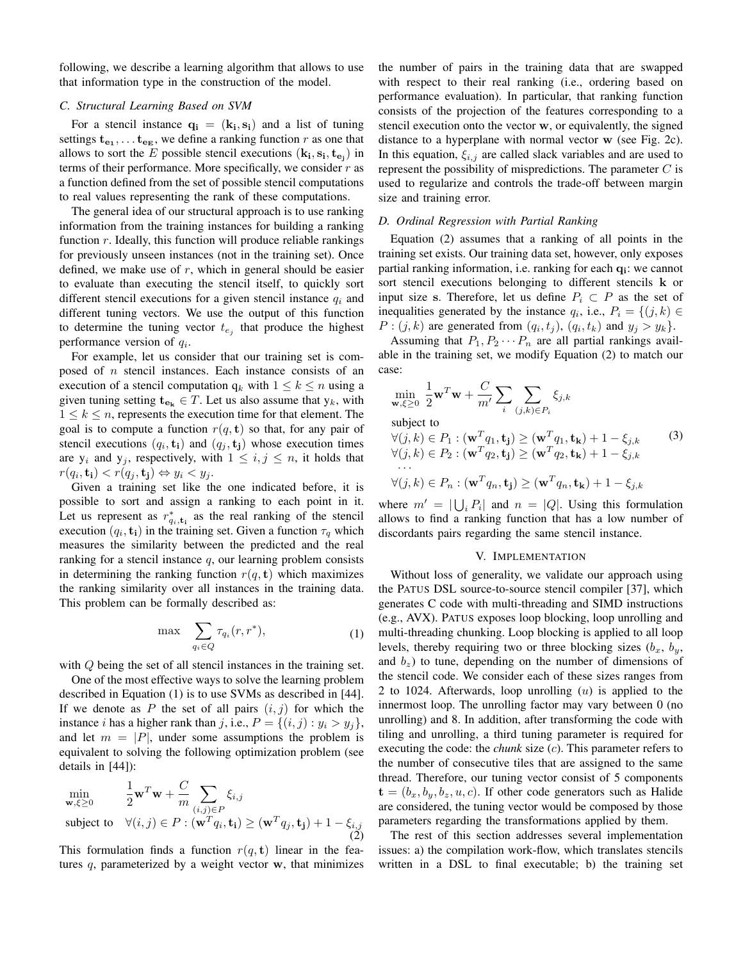following, we describe a learning algorithm that allows to use that information type in the construction of the model.

# *C. Structural Learning Based on SVM*

For a stencil instance  $\mathbf{q_i} = (\mathbf{k_i}, \mathbf{s_i})$  and a list of tuning settings  $t_{e_1}, \ldots t_{e_E}$ , we define a ranking function r as one that allows to sort the E possible stencil executions  $(\mathbf{k_i}, \mathbf{s_i}, \mathbf{t_{e_j}})$  in terms of their performance. More specifically, we consider  $r$  as a function defined from the set of possible stencil computations to real values representing the rank of these computations.

The general idea of our structural approach is to use ranking information from the training instances for building a ranking function  $r$ . Ideally, this function will produce reliable rankings for previously unseen instances (not in the training set). Once defined, we make use of  $r$ , which in general should be easier to evaluate than executing the stencil itself, to quickly sort different stencil executions for a given stencil instance  $q_i$  and different tuning vectors. We use the output of this function to determine the tuning vector  $t_{e_j}$  that produce the highest performance version of  $q_i$ .

For example, let us consider that our training set is composed of n stencil instances. Each instance consists of an execution of a stencil computation  $q_k$  with  $1 \leq k \leq n$  using a given tuning setting  $t_{e_k} \in T$ . Let us also assume that  $y_k$ , with  $1 \leq k \leq n$ , represents the execution time for that element. The goal is to compute a function  $r(q, t)$  so that, for any pair of stencil executions  $(q_i, \mathbf{t_i})$  and  $(q_j, \mathbf{t_j})$  whose execution times are  $y_i$  and  $y_j$ , respectively, with  $1 \leq i, j \leq n$ , it holds that  $r(q_i, \mathbf{t_i}) < r(q_j, \mathbf{t_j}) \Leftrightarrow y_i < y_j.$ 

Given a training set like the one indicated before, it is possible to sort and assign a ranking to each point in it. Let us represent as  $r^*_{q_i, t_i}$  as the real ranking of the stencil execution  $(q_i, t_i)$  in the training set. Given a function  $\tau_q$  which measures the similarity between the predicted and the real ranking for a stencil instance  $q$ , our learning problem consists in determining the ranking function  $r(q, t)$  which maximizes the ranking similarity over all instances in the training data. This problem can be formally described as:

$$
\max \sum_{q_i \in Q} \tau_{q_i}(r, r^*), \tag{1}
$$

with Q being the set of all stencil instances in the training set.

One of the most effective ways to solve the learning problem described in Equation (1) is to use SVMs as described in [44]. If we denote as P the set of all pairs  $(i, j)$  for which the instance *i* has a higher rank than *j*, i.e.,  $P = \{(i, j) : y_i > y_j\},\$ and let  $m = |P|$ , under some assumptions the problem is equivalent to solving the following optimization problem (see details in [44]):

$$
\min_{\mathbf{w}, \xi \ge 0} \qquad \frac{1}{2} \mathbf{w}^T \mathbf{w} + \frac{C}{m} \sum_{(i,j) \in P} \xi_{i,j}
$$
\n
$$
\text{subject to} \quad \forall (i, j) \in P : (\mathbf{w}^T q_i, \mathbf{t_i}) \ge (\mathbf{w}^T q_j, \mathbf{t_j}) + 1 - \xi_{i,j}
$$
\n
$$
(2)
$$

This formulation finds a function  $r(q, t)$  linear in the features  $q$ , parameterized by a weight vector  $w$ , that minimizes the number of pairs in the training data that are swapped with respect to their real ranking (i.e., ordering based on performance evaluation). In particular, that ranking function consists of the projection of the features corresponding to a stencil execution onto the vector w, or equivalently, the signed distance to a hyperplane with normal vector w (see Fig. 2c). In this equation,  $\xi_{i,j}$  are called slack variables and are used to represent the possibility of mispredictions. The parameter  $C$  is used to regularize and controls the trade-off between margin size and training error.

# *D. Ordinal Regression with Partial Ranking*

Equation (2) assumes that a ranking of all points in the training set exists. Our training data set, however, only exposes partial ranking information, i.e. ranking for each  $q_i$ : we cannot sort stencil executions belonging to different stencils k or input size s. Therefore, let us define  $P_i \subset P$  as the set of inequalities generated by the instance  $q_i$ , i.e.,  $P_i = \{(j, k) \in$  $P: (j,k)$  are generated from  $(q_i, t_j)$ ,  $(q_i, t_k)$  and  $y_j > y_k$ .

Assuming that  $P_1, P_2 \cdots P_n$  are all partial rankings available in the training set, we modify Equation (2) to match our case:

$$
\min_{\mathbf{w}, \xi \geq 0} \frac{1}{2} \mathbf{w}^T \mathbf{w} + \frac{C}{m'} \sum_{i} \sum_{(j,k) \in P_i} \xi_{j,k}
$$
\nsubject to\n
$$
\forall (j,k) \in P_1 : (\mathbf{w}^T q_1, \mathbf{t}_j) \geq (\mathbf{w}^T q_1, \mathbf{t}_k) + 1 - \xi_{j,k}
$$
\n
$$
\forall (j,k) \in P_2 : (\mathbf{w}^T q_2, \mathbf{t}_j) \geq (\mathbf{w}^T q_2, \mathbf{t}_k) + 1 - \xi_{j,k}
$$
\n
$$
\vdots
$$
\n
$$
\forall (j,k) \in P_n : (\mathbf{w}^T q_n, \mathbf{t}_j) \geq (\mathbf{w}^T q_n, \mathbf{t}_k) + 1 - \xi_{j,k}
$$
\n(3)

where  $m' = |\bigcup_i P_i|$  and  $n = |Q|$ . Using this formulation allows to find a ranking function that has a low number of discordants pairs regarding the same stencil instance.

#### V. IMPLEMENTATION

Without loss of generality, we validate our approach using the PATUS DSL source-to-source stencil compiler [37], which generates C code with multi-threading and SIMD instructions (e.g., AVX). PATUS exposes loop blocking, loop unrolling and multi-threading chunking. Loop blocking is applied to all loop levels, thereby requiring two or three blocking sizes  $(b_x, b_y, b_y)$ and  $b_z$ ) to tune, depending on the number of dimensions of the stencil code. We consider each of these sizes ranges from 2 to 1024. Afterwards, loop unrolling  $(u)$  is applied to the innermost loop. The unrolling factor may vary between 0 (no unrolling) and 8. In addition, after transforming the code with tiling and unrolling, a third tuning parameter is required for executing the code: the *chunk* size (c). This parameter refers to the number of consecutive tiles that are assigned to the same thread. Therefore, our tuning vector consist of 5 components  $\mathbf{t} = (b_x, b_y, b_z, u, c)$ . If other code generators such as Halide are considered, the tuning vector would be composed by those parameters regarding the transformations applied by them.

The rest of this section addresses several implementation issues: a) the compilation work-flow, which translates stencils written in a DSL to final executable; b) the training set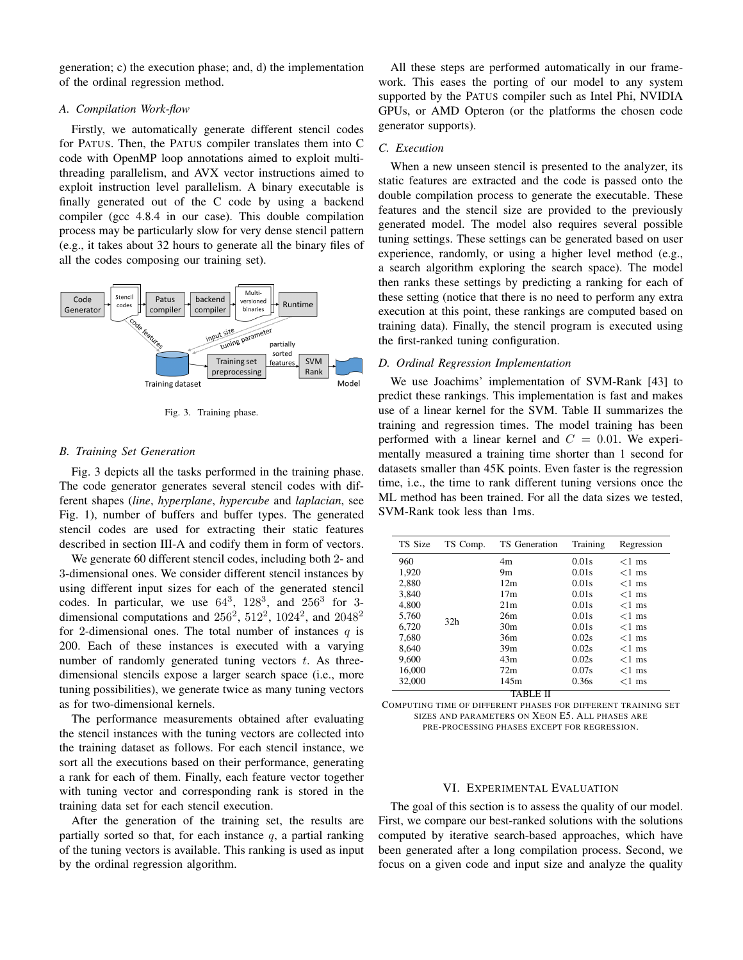generation; c) the execution phase; and, d) the implementation of the ordinal regression method.

# *A. Compilation Work-flow*

Firstly, we automatically generate different stencil codes for PATUS. Then, the PATUS compiler translates them into C code with OpenMP loop annotations aimed to exploit multithreading parallelism, and AVX vector instructions aimed to exploit instruction level parallelism. A binary executable is finally generated out of the C code by using a backend compiler (gcc 4.8.4 in our case). This double compilation process may be particularly slow for very dense stencil pattern (e.g., it takes about 32 hours to generate all the binary files of all the codes composing our training set).



Fig. 3. Training phase.

## *B. Training Set Generation*

Fig. 3 depicts all the tasks performed in the training phase. The code generator generates several stencil codes with different shapes (*line*, *hyperplane*, *hypercube* and *laplacian*, see Fig. 1), number of buffers and buffer types. The generated stencil codes are used for extracting their static features described in section III-A and codify them in form of vectors.

We generate 60 different stencil codes, including both 2- and 3-dimensional ones. We consider different stencil instances by using different input sizes for each of the generated stencil codes. In particular, we use  $64^3$ ,  $128^3$ , and  $256^3$  for 3dimensional computations and  $256^2$ ,  $512^2$ ,  $1024^2$ , and  $2048^2$ for 2-dimensional ones. The total number of instances  $q$  is 200. Each of these instances is executed with a varying number of randomly generated tuning vectors  $t$ . As threedimensional stencils expose a larger search space (i.e., more tuning possibilities), we generate twice as many tuning vectors as for two-dimensional kernels.

The performance measurements obtained after evaluating the stencil instances with the tuning vectors are collected into the training dataset as follows. For each stencil instance, we sort all the executions based on their performance, generating a rank for each of them. Finally, each feature vector together with tuning vector and corresponding rank is stored in the training data set for each stencil execution.

After the generation of the training set, the results are partially sorted so that, for each instance  $q$ , a partial ranking of the tuning vectors is available. This ranking is used as input by the ordinal regression algorithm.

All these steps are performed automatically in our framework. This eases the porting of our model to any system supported by the PATUS compiler such as Intel Phi, NVIDIA GPUs, or AMD Opteron (or the platforms the chosen code generator supports).

# *C. Execution*

When a new unseen stencil is presented to the analyzer, its static features are extracted and the code is passed onto the double compilation process to generate the executable. These features and the stencil size are provided to the previously generated model. The model also requires several possible tuning settings. These settings can be generated based on user experience, randomly, or using a higher level method (e.g., a search algorithm exploring the search space). The model then ranks these settings by predicting a ranking for each of these setting (notice that there is no need to perform any extra execution at this point, these rankings are computed based on training data). Finally, the stencil program is executed using the first-ranked tuning configuration.

## *D. Ordinal Regression Implementation*

We use Joachims' implementation of SVM-Rank [43] to predict these rankings. This implementation is fast and makes use of a linear kernel for the SVM. Table II summarizes the training and regression times. The model training has been performed with a linear kernel and  $C = 0.01$ . We experimentally measured a training time shorter than 1 second for datasets smaller than 45K points. Even faster is the regression time, i.e., the time to rank different tuning versions once the ML method has been trained. For all the data sizes we tested, SVM-Rank took less than 1ms.

| TS Size    | TS Comp.        | TS Generation   | Training | Regression |  |  |
|------------|-----------------|-----------------|----------|------------|--|--|
| 960        |                 | 4m              | 0.01s    | $<1$ ms    |  |  |
| 1,920      |                 | 9m              | 0.01s    | $<1$ ms    |  |  |
| 2.880      |                 | 12m             | 0.01s    | $<1$ ms    |  |  |
| 3.840      |                 | 17m             | 0.01s    | $<1$ ms    |  |  |
| 4.800      |                 | 21m             | 0.01s    | $<1$ ms    |  |  |
| 5.760      | 32 <sub>h</sub> | 26m             | 0.01s    | $<$ 1 ms   |  |  |
| 6.720      |                 | 30 <sub>m</sub> | 0.01s    | $<1$ ms    |  |  |
| 7.680      |                 | 36 <sub>m</sub> | 0.02s    | $<1$ ms    |  |  |
| 8.640      |                 | 39 <sub>m</sub> | 0.02s    | $<1$ ms    |  |  |
| 9,600      |                 | 43m             | 0.02s    | $<$ 1 ms   |  |  |
| 16.000     |                 | 72m             | 0.07s    | $<1$ ms    |  |  |
| 32,000     |                 | 145m            | 0.36s    | $<1$ ms    |  |  |
| TABL<br>Н. |                 |                 |          |            |  |  |

COMPUTING TIME OF DIFFERENT PHASES FOR DIFFERENT TRAINING SET SIZES AND PARAMETERS ON XEON E5. ALL PHASES ARE PRE-PROCESSING PHASES EXCEPT FOR REGRESSION.

# VI. EXPERIMENTAL EVALUATION

The goal of this section is to assess the quality of our model. First, we compare our best-ranked solutions with the solutions computed by iterative search-based approaches, which have been generated after a long compilation process. Second, we focus on a given code and input size and analyze the quality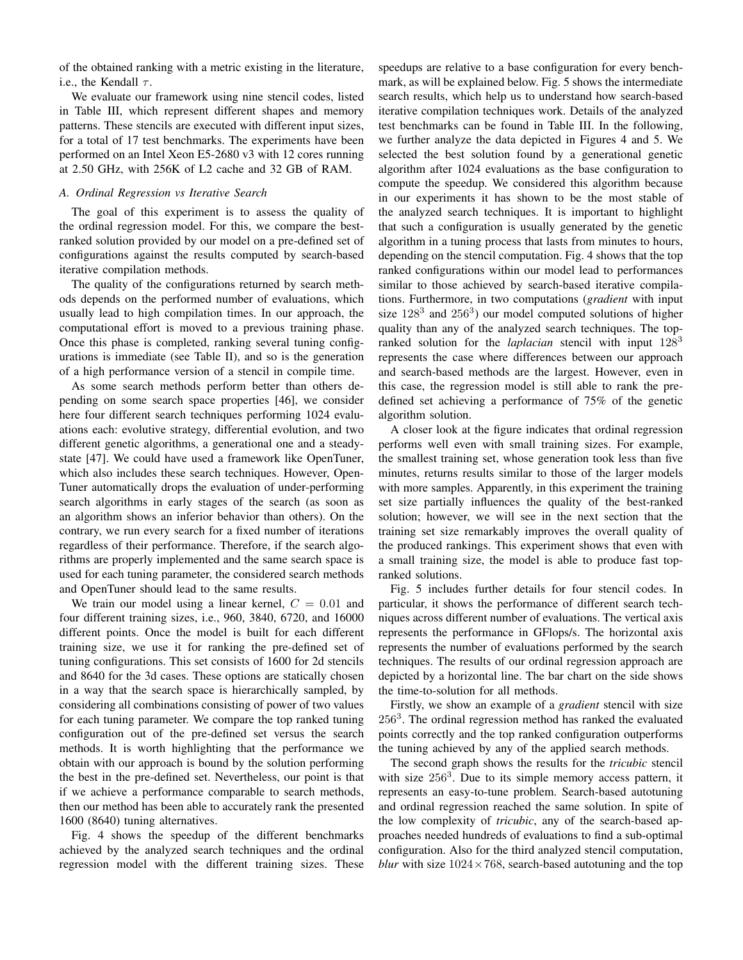of the obtained ranking with a metric existing in the literature, i.e., the Kendall  $\tau$ .

We evaluate our framework using nine stencil codes, listed in Table III, which represent different shapes and memory patterns. These stencils are executed with different input sizes, for a total of 17 test benchmarks. The experiments have been performed on an Intel Xeon E5-2680 v3 with 12 cores running at 2.50 GHz, with 256K of L2 cache and 32 GB of RAM.

## *A. Ordinal Regression vs Iterative Search*

The goal of this experiment is to assess the quality of the ordinal regression model. For this, we compare the bestranked solution provided by our model on a pre-defined set of configurations against the results computed by search-based iterative compilation methods.

The quality of the configurations returned by search methods depends on the performed number of evaluations, which usually lead to high compilation times. In our approach, the computational effort is moved to a previous training phase. Once this phase is completed, ranking several tuning configurations is immediate (see Table II), and so is the generation of a high performance version of a stencil in compile time.

As some search methods perform better than others depending on some search space properties [46], we consider here four different search techniques performing 1024 evaluations each: evolutive strategy, differential evolution, and two different genetic algorithms, a generational one and a steadystate [47]. We could have used a framework like OpenTuner, which also includes these search techniques. However, Open-Tuner automatically drops the evaluation of under-performing search algorithms in early stages of the search (as soon as an algorithm shows an inferior behavior than others). On the contrary, we run every search for a fixed number of iterations regardless of their performance. Therefore, if the search algorithms are properly implemented and the same search space is used for each tuning parameter, the considered search methods and OpenTuner should lead to the same results.

We train our model using a linear kernel,  $C = 0.01$  and four different training sizes, i.e., 960, 3840, 6720, and 16000 different points. Once the model is built for each different training size, we use it for ranking the pre-defined set of tuning configurations. This set consists of 1600 for 2d stencils and 8640 for the 3d cases. These options are statically chosen in a way that the search space is hierarchically sampled, by considering all combinations consisting of power of two values for each tuning parameter. We compare the top ranked tuning configuration out of the pre-defined set versus the search methods. It is worth highlighting that the performance we obtain with our approach is bound by the solution performing the best in the pre-defined set. Nevertheless, our point is that if we achieve a performance comparable to search methods, then our method has been able to accurately rank the presented 1600 (8640) tuning alternatives.

Fig. 4 shows the speedup of the different benchmarks achieved by the analyzed search techniques and the ordinal regression model with the different training sizes. These speedups are relative to a base configuration for every benchmark, as will be explained below. Fig. 5 shows the intermediate search results, which help us to understand how search-based iterative compilation techniques work. Details of the analyzed test benchmarks can be found in Table III. In the following, we further analyze the data depicted in Figures 4 and 5. We selected the best solution found by a generational genetic algorithm after 1024 evaluations as the base configuration to compute the speedup. We considered this algorithm because in our experiments it has shown to be the most stable of the analyzed search techniques. It is important to highlight that such a configuration is usually generated by the genetic algorithm in a tuning process that lasts from minutes to hours, depending on the stencil computation. Fig. 4 shows that the top ranked configurations within our model lead to performances similar to those achieved by search-based iterative compilations. Furthermore, in two computations (*gradient* with input size  $128<sup>3</sup>$  and  $256<sup>3</sup>$ ) our model computed solutions of higher quality than any of the analyzed search techniques. The topranked solution for the *laplacian* stencil with input 128<sup>3</sup> represents the case where differences between our approach and search-based methods are the largest. However, even in this case, the regression model is still able to rank the predefined set achieving a performance of 75% of the genetic algorithm solution.

A closer look at the figure indicates that ordinal regression performs well even with small training sizes. For example, the smallest training set, whose generation took less than five minutes, returns results similar to those of the larger models with more samples. Apparently, in this experiment the training set size partially influences the quality of the best-ranked solution; however, we will see in the next section that the training set size remarkably improves the overall quality of the produced rankings. This experiment shows that even with a small training size, the model is able to produce fast topranked solutions.

Fig. 5 includes further details for four stencil codes. In particular, it shows the performance of different search techniques across different number of evaluations. The vertical axis represents the performance in GFlops/s. The horizontal axis represents the number of evaluations performed by the search techniques. The results of our ordinal regression approach are depicted by a horizontal line. The bar chart on the side shows the time-to-solution for all methods.

Firstly, we show an example of a *gradient* stencil with size 256<sup>3</sup>. The ordinal regression method has ranked the evaluated points correctly and the top ranked configuration outperforms the tuning achieved by any of the applied search methods.

The second graph shows the results for the *tricubic* stencil with size 256<sup>3</sup>. Due to its simple memory access pattern, it represents an easy-to-tune problem. Search-based autotuning and ordinal regression reached the same solution. In spite of the low complexity of *tricubic*, any of the search-based approaches needed hundreds of evaluations to find a sub-optimal configuration. Also for the third analyzed stencil computation, *blur* with size  $1024 \times 768$ , search-based autotuning and the top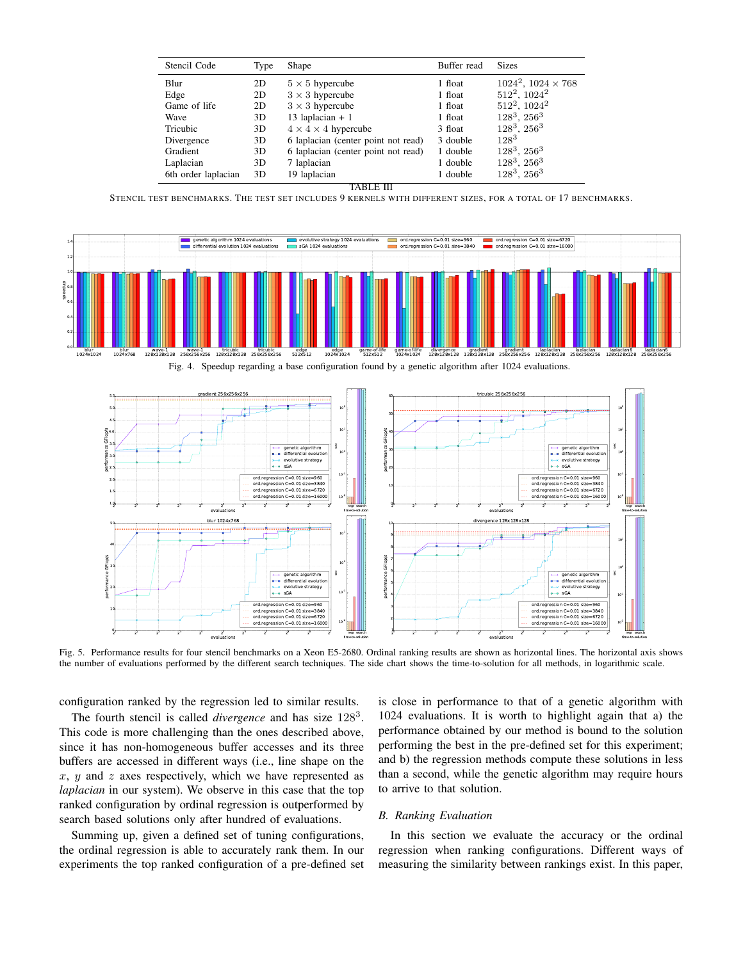| Stencil Code        | Type | Shape                               | Buffer read | <b>Sizes</b>                 |
|---------------------|------|-------------------------------------|-------------|------------------------------|
| Blur                | 2D   | $5 \times 5$ hypercube              | 1 float     | $1024^2$ , $1024 \times 768$ |
| Edge                | 2D   | $3 \times 3$ hypercube              | 1 float     | $512^2$ , $1024^2$           |
| Game of life        | 2D   | $3 \times 3$ hypercube              | 1 float     | $512^2$ , $1024^2$           |
| Wave                | 3D   | 13 laplacian $+1$                   | 1 float     | $128^3$ , $256^3$            |
| Tricubic            | 3D   | $4 \times 4 \times 4$ hypercube     | 3 float     | $128^3$ , $256^3$            |
| Divergence          | 3D   | 6 laplacian (center point not read) | 3 double    | $128^{3}$                    |
| Gradient            | 3D   | 6 laplacian (center point not read) | 1 double    | $128^3$ , $256^3$            |
| Laplacian           | 3D   | 7 laplacian                         | 1 double    | $128^3$ , $256^3$            |
| 6th order laplacian | 3D   | 19 laplacian                        | 1 double    | $128^3$ , $256^3$            |

STENCIL TEST BENCHMARKS. THE TEST SET INCLUDES 9 KERNELS WITH DIFFERENT SIZES, FOR A TOTAL OF 17 BENCHMARKS.



Fig. 5. Performance results for four stencil benchmarks on a Xeon E5-2680. Ordinal ranking results are shown as horizontal lines. The horizontal axis shows the number of evaluations performed by the different search techniques. The side chart shows the time-to-solution for all methods, in logarithmic scale.

configuration ranked by the regression led to similar results.

The fourth stencil is called *divergence* and has size 128<sup>3</sup>. This code is more challenging than the ones described above, since it has non-homogeneous buffer accesses and its three buffers are accessed in different ways (i.e., line shape on the  $x, y$  and  $z$  axes respectively, which we have represented as *laplacian* in our system). We observe in this case that the top ranked configuration by ordinal regression is outperformed by search based solutions only after hundred of evaluations.

Summing up, given a defined set of tuning configurations, the ordinal regression is able to accurately rank them. In our experiments the top ranked configuration of a pre-defined set is close in performance to that of a genetic algorithm with 1024 evaluations. It is worth to highlight again that a) the performance obtained by our method is bound to the solution performing the best in the pre-defined set for this experiment; and b) the regression methods compute these solutions in less than a second, while the genetic algorithm may require hours to arrive to that solution.

### *B. Ranking Evaluation*

In this section we evaluate the accuracy or the ordinal regression when ranking configurations. Different ways of measuring the similarity between rankings exist. In this paper,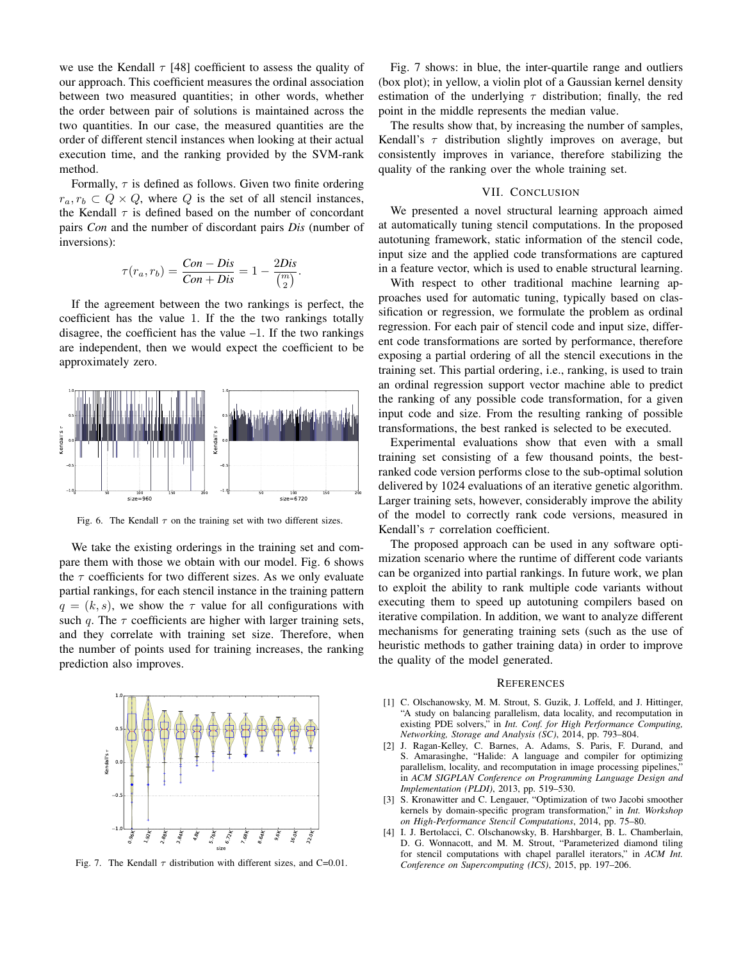we use the Kendall  $\tau$  [48] coefficient to assess the quality of our approach. This coefficient measures the ordinal association between two measured quantities; in other words, whether the order between pair of solutions is maintained across the two quantities. In our case, the measured quantities are the order of different stencil instances when looking at their actual execution time, and the ranking provided by the SVM-rank method.

Formally,  $\tau$  is defined as follows. Given two finite ordering  $r_a, r_b \subset Q \times Q$ , where Q is the set of all stencil instances, the Kendall  $\tau$  is defined based on the number of concordant pairs *Con* and the number of discordant pairs *Dis* (number of inversions):

$$
\tau(r_a, r_b) = \frac{Con - Dis}{Con + Dis} = 1 - \frac{2Dis}{\binom{m}{2}}.
$$

If the agreement between the two rankings is perfect, the coefficient has the value 1. If the the two rankings totally disagree, the coefficient has the value  $-1$ . If the two rankings are independent, then we would expect the coefficient to be approximately zero.



Fig. 6. The Kendall  $\tau$  on the training set with two different sizes.

We take the existing orderings in the training set and compare them with those we obtain with our model. Fig. 6 shows the  $\tau$  coefficients for two different sizes. As we only evaluate partial rankings, for each stencil instance in the training pattern  $q = (k, s)$ , we show the  $\tau$  value for all configurations with such q. The  $\tau$  coefficients are higher with larger training sets, and they correlate with training set size. Therefore, when the number of points used for training increases, the ranking prediction also improves.

![](_page_8_Figure_7.jpeg)

Fig. 7. The Kendall  $\tau$  distribution with different sizes, and C=0.01.

Fig. 7 shows: in blue, the inter-quartile range and outliers (box plot); in yellow, a violin plot of a Gaussian kernel density estimation of the underlying  $\tau$  distribution; finally, the red point in the middle represents the median value.

The results show that, by increasing the number of samples, Kendall's  $\tau$  distribution slightly improves on average, but consistently improves in variance, therefore stabilizing the quality of the ranking over the whole training set.

# VII. CONCLUSION

We presented a novel structural learning approach aimed at automatically tuning stencil computations. In the proposed autotuning framework, static information of the stencil code, input size and the applied code transformations are captured in a feature vector, which is used to enable structural learning.

With respect to other traditional machine learning approaches used for automatic tuning, typically based on classification or regression, we formulate the problem as ordinal regression. For each pair of stencil code and input size, different code transformations are sorted by performance, therefore exposing a partial ordering of all the stencil executions in the training set. This partial ordering, i.e., ranking, is used to train an ordinal regression support vector machine able to predict the ranking of any possible code transformation, for a given input code and size. From the resulting ranking of possible transformations, the best ranked is selected to be executed.

Experimental evaluations show that even with a small training set consisting of a few thousand points, the bestranked code version performs close to the sub-optimal solution delivered by 1024 evaluations of an iterative genetic algorithm. Larger training sets, however, considerably improve the ability of the model to correctly rank code versions, measured in Kendall's  $\tau$  correlation coefficient.

The proposed approach can be used in any software optimization scenario where the runtime of different code variants can be organized into partial rankings. In future work, we plan to exploit the ability to rank multiple code variants without executing them to speed up autotuning compilers based on iterative compilation. In addition, we want to analyze different mechanisms for generating training sets (such as the use of heuristic methods to gather training data) in order to improve the quality of the model generated.

#### **REFERENCES**

- [1] C. Olschanowsky, M. M. Strout, S. Guzik, J. Loffeld, and J. Hittinger, "A study on balancing parallelism, data locality, and recomputation in existing PDE solvers," in *Int. Conf. for High Performance Computing, Networking, Storage and Analysis (SC)*, 2014, pp. 793–804.
- [2] J. Ragan-Kelley, C. Barnes, A. Adams, S. Paris, F. Durand, and S. Amarasinghe, "Halide: A language and compiler for optimizing parallelism, locality, and recomputation in image processing pipelines, in *ACM SIGPLAN Conference on Programming Language Design and Implementation (PLDI)*, 2013, pp. 519–530.
- [3] S. Kronawitter and C. Lengauer, "Optimization of two Jacobi smoother kernels by domain-specific program transformation," in *Int. Workshop on High-Performance Stencil Computations*, 2014, pp. 75–80.
- [4] I. J. Bertolacci, C. Olschanowsky, B. Harshbarger, B. L. Chamberlain, D. G. Wonnacott, and M. M. Strout, "Parameterized diamond tiling for stencil computations with chapel parallel iterators," in *ACM Int. Conference on Supercomputing (ICS)*, 2015, pp. 197–206.